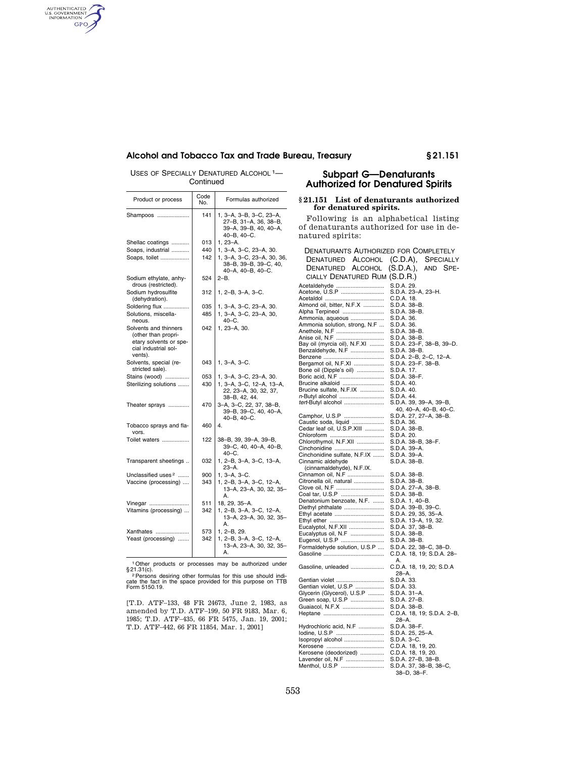AUTHENTICATED<br>U.S. GOVERNMENT<br>INFORMATION GPO

# **Alcohol and Tobacco Tax and Trade Bureau, Treasury § 21.151**

USES OF SPECIALLY DENATURED ALCOHOL<sup>1</sup>-Continued

| Product or process                                                                                        | Code<br>No. | Formulas authorized                                                                          |  |  |  |
|-----------------------------------------------------------------------------------------------------------|-------------|----------------------------------------------------------------------------------------------|--|--|--|
| Shampoos                                                                                                  | 141         | 1, 3-A, 3-B, 3-C, 23-A,<br>27-B, 31-A, 36, 38-B,<br>39-A, 39-B, 40, 40-A,<br>40-B, 40-C.     |  |  |  |
| Shellac coatings                                                                                          | 013         | 1, 23-A.                                                                                     |  |  |  |
| Soaps, industrial                                                                                         | 440         | 1, 3-A, 3-C, 23-A, 30.                                                                       |  |  |  |
| Soaps, toilet                                                                                             | 142         | 1, 3-A, 3-C, 23-A, 30, 36,<br>38-B, 39-B, 39-C, 40,<br>40-A, 40-B, 40-C.                     |  |  |  |
| Sodium ethylate, anhy-<br>drous (restricted).                                                             | 524         | $2 - B$ .                                                                                    |  |  |  |
| Sodium hydrosulfite<br>(dehydration).                                                                     | 312         | 1, 2–B, 3–A, 3–C.                                                                            |  |  |  |
| Soldering flux                                                                                            | 035         | 1, 3-A, 3-C, 23-A, 30.                                                                       |  |  |  |
| Solutions, miscella-<br>neous.                                                                            | 485         | 1, 3-A, 3-C, 23-A, 30,<br>$40 - C$ .                                                         |  |  |  |
| Solvents and thinners<br>(other than propri-<br>etary solvents or spe-<br>cial industrial sol-<br>vents). | 042         | 1, 23-A, 30.                                                                                 |  |  |  |
| Solvents, special (re-<br>stricted sale).                                                                 | 043         | 1, 3-A, 3-C.                                                                                 |  |  |  |
| Stains (wood)<br>Sterilizing solutions                                                                    | 053<br>430  | 1, 3-A, 3-C, 23-A, 30.<br>1, 3-A, 3-C, 12-A, 13-A,<br>22, 23-A, 30, 32, 37,<br>38-B, 42, 44. |  |  |  |
| Theater sprays                                                                                            | 470         | 3-A, 3-C, 22, 37, 38-B,<br>39-B, 39-C, 40, 40-A,<br>40-B, 40-C.                              |  |  |  |
| Tobacco sprays and fla-<br>vors.                                                                          | 460         | 4.                                                                                           |  |  |  |
| Toilet waters                                                                                             | 122         | 38-B, 39, 39-A, 39-B,<br>39-C, 40, 40-A, 40-B,<br>$40 - C$ .                                 |  |  |  |
| Transparent sheetings                                                                                     | 032         | 1, 2-B, 3-A, 3-C, 13-A,<br>$23 - A$ .                                                        |  |  |  |
| Unclassified uses <sup>2</sup>                                                                            | 900         | 1, 3-A, 3-C.                                                                                 |  |  |  |
| Vaccine (processing)                                                                                      | 343         | 1, 2–B, 3–A, 3–C, 12–A,<br>13-A, 23-A, 30, 32, 35-<br>А.                                     |  |  |  |
| Vinegar                                                                                                   | 511         | 18, 29, 35-A.                                                                                |  |  |  |
| Vitamins (processing)                                                                                     | 342         | 1, 2-B, 3-A, 3-C, 12-A,<br>13-A, 23-A, 30, 32, 35-<br>А.                                     |  |  |  |
| Xanthates                                                                                                 | 573         | 1, 2-B, 29.                                                                                  |  |  |  |
| Yeast (processing)                                                                                        | 342         | 1, 2-B, 3-A, 3-C, 12-A,<br>13-A, 23-A, 30, 32, 35-<br>А.                                     |  |  |  |

<sup>1</sup> Other products or processes may be authorized under § 21.31(c).<br><sup>2</sup> Persons desiring other formulas for this use should indi-<br>cate the fact in the space provided for this purpose on TTB<br>Form 5150.19.

[T.D. ATF–133, 48 FR 24673, June 2, 1983, as amended by T.D. ATF–199, 50 FR 9183, Mar. 6, 1985; T.D. ATF–435, 66 FR 5475, Jan. 19, 2001; T.D. ATF–442, 66 FR 11854, Mar. 1, 2001]

# **Subpart G—Denaturants Authorized for Denatured Spirits**

## **§ 21.151 List of denaturants authorized for denatured spirits.**

Following is an alphabetical listing of denaturants authorized for use in denatured spirits:

| DENATURANTS AUTHORIZED FOR COMPLETELY     |                                                     |
|-------------------------------------------|-----------------------------------------------------|
| <b>ALCOHOL</b><br>DENATURED               | (C.D.A),<br>SPECIALLY                               |
| DENATURED ALCOHOL                         | (S.D.A.),<br>AND SPE-                               |
| CIALLY DENATURED RUM (S.D.R.)             |                                                     |
|                                           |                                                     |
| Acetaldehyde<br>Acetone, U.S.P            | S.D.A. 29.<br>S.D.A. 23-A, 23-H.                    |
|                                           | C.D.A. 18.                                          |
| Almond oil, bitter, N.F.X                 | S.D.A. 38-B.                                        |
| Alpha Terpineol                           | S.D.A. 38-B.                                        |
| Ammonia, aqueous                          | S.D.A. 36.                                          |
| Ammonia solution, strong, N.F             | S.D.A. 36.                                          |
| Anethole, N.F<br>Anise oil, N.F           | S.D.A. 38-B.                                        |
|                                           | S.D.A. 38-B.                                        |
| Bay oil (myrcia oil), N.F.XI              | S.D.A. 23-F, 38-B, 39-D.<br>S.D.A. 38–B.            |
| Benzaldehyde, N.F                         | S.D.A. 2-B, 2-C, 12-A.                              |
|                                           | S.D.A. 23-F. 38-B.                                  |
| Bone oil (Dipple's oil)                   | S.D.A. 17.                                          |
| Boric acid, N.F                           | S.D.A. 38-F.                                        |
| Brucine alkaloid                          | S.D.A. 40.                                          |
| Brucine sulfate, N.F.IX                   | S.D.A. 40.                                          |
| n-Butyl alcohol                           | S.D.A. 44.                                          |
| tert-Butyl alcohol                        | S.D.A. 39, 39-A, 39-B,                              |
| Camphor, U.S.P                            | 40, 40-A, 40-B, 40-C.<br>S.D.A. 27, 27-A, 38-B.     |
| Caustic soda, liquid                      | S.D.A. 36.                                          |
| Cedar leaf oil, U.S.P.XIII                | S.D.A. 38-B.                                        |
| Chloroform                                | S.D.A. 20.                                          |
| Chlorothymol, N.F.XII                     | S.D.A. 38-B, 38-F.                                  |
| Cinchonidine                              | S.D.A. 39-A.                                        |
| Cinchonidine sulfate, N.F.IX              | S.D.A. 39-A.                                        |
| Cinnamic aldehyde                         | S.D.A. 38-B.                                        |
| (cinnamaldehyde), N.F.IX.                 |                                                     |
| Cinnamon oil, N.F                         | S.D.A. 38–B.                                        |
| Citronella oil, natural<br>Clove oil, N.F | S.D.A. 38–B.<br>S.D.A. 27–A, 38–B.                  |
| Coal tar, U.S.P                           | S.D.A. 38–B.                                        |
| Denatonium benzoate, N.F.                 | S.D.A. 1, 40-B.                                     |
| Diethyl phthalate                         | S.D.A. 39-B, 39-C.                                  |
| Ethyl acetate                             | S.D.A. 29, 35, 35–A.                                |
| Ethyl ether<br>Eucalyptol, N.F.XII        | S.D.A. 13-A, 19, 32.                                |
|                                           | S.D.A. 37, 38-B.                                    |
| Eucalyptus oil, N.F                       | S.D.A. 38-B.                                        |
| Eugenol, U.S.P                            | S.D.A. 38-B.                                        |
| Formaldehyde solution, U.S.P              | S.D.A. 22, 38-C, 38-D.<br>C.D.A. 18, 19; S.D.A. 28- |
|                                           | А.                                                  |
| Gasoline, unleaded                        | C.D.A. 18, 19, 20; S.D.A<br>28–A.                   |
| Gentian violet                            | S.D.A. 33.                                          |
| Gentian violet, U.S.P                     | S.D.A. 33.                                          |
| Glycerin (Glycerol), U.S.P                | S.D.A. 31–A.                                        |
| Green soap, U.S.P                         | S.D.A. 27–B.                                        |
| Guaiacol, N.F.X                           | S.D.A. 38–B.                                        |
|                                           | C.D.A. 18, 19; S.D.A. 2-B,<br>28-A.                 |
| Hydrochloric acid, N.F                    | S.D.A. 38-F.                                        |
| lodine, U.S.P                             | S.D.A. 25, 25-A.                                    |
| Isopropyl alcohol                         | S.D.A. 3-C.                                         |
| Kerosene (deodorized)                     | C.D.A. 18, 19, 20.<br>C.D.A. 18, 19, 20.            |
| Lavender oil, N.F                         | S.D.A. 27-B, 38-B.                                  |
| Menthol, U.S.P                            | S.D.A. 37, 38-B, 38-C,                              |
|                                           | 38-D, 38-F.                                         |